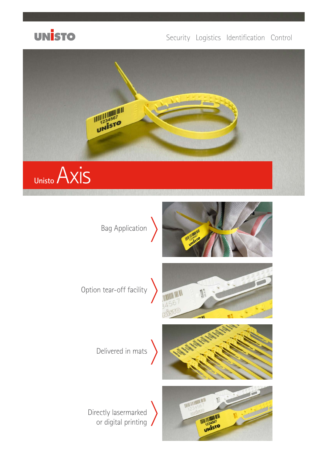

## Security Logistics Identification Control